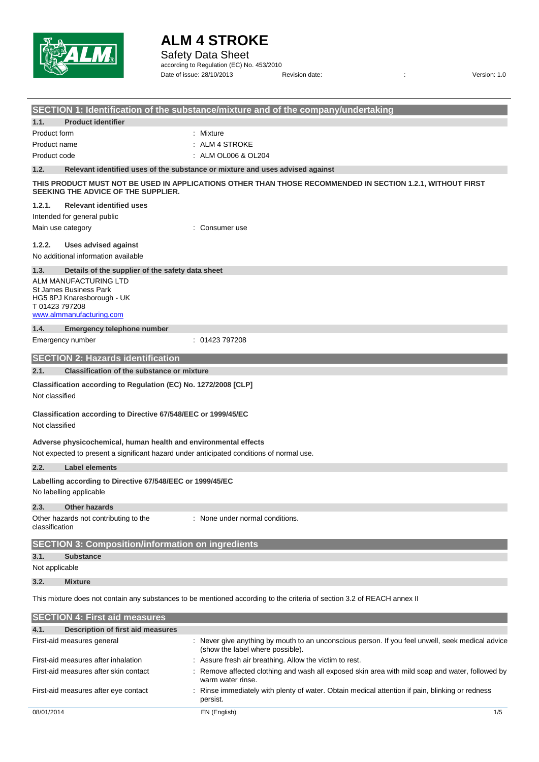

Safety Data Sheet

according to Regulation (EC) No. 453/2010 Date of issue: 28/10/2013 Revision date:  $\overline{a}$  :  $\overline{b}$  Version: 1.0

|                                                                                                                         | SECTION 1: Identification of the substance/mixture and of the company/undertaking                                                  |
|-------------------------------------------------------------------------------------------------------------------------|------------------------------------------------------------------------------------------------------------------------------------|
| 1.1.<br><b>Product identifier</b>                                                                                       |                                                                                                                                    |
| Product form                                                                                                            | Mixture<br>۰.                                                                                                                      |
| Product name                                                                                                            | : ALM 4 STROKE                                                                                                                     |
| Product code                                                                                                            | ALM OL006 & OL204                                                                                                                  |
| 1.2.                                                                                                                    | Relevant identified uses of the substance or mixture and uses advised against                                                      |
| SEEKING THE ADVICE OF THE SUPPLIER.                                                                                     | THIS PRODUCT MUST NOT BE USED IN APPLICATIONS OTHER THAN THOSE RECOMMENDED IN SECTION 1.2.1, WITHOUT FIRST                         |
| <b>Relevant identified uses</b><br>1.2.1.                                                                               |                                                                                                                                    |
| Intended for general public                                                                                             |                                                                                                                                    |
| Main use category                                                                                                       | Consumer use                                                                                                                       |
| 1.2.2.<br><b>Uses advised against</b>                                                                                   |                                                                                                                                    |
| No additional information available                                                                                     |                                                                                                                                    |
| 1.3.<br>Details of the supplier of the safety data sheet                                                                |                                                                                                                                    |
| ALM MANUFACTURING LTD                                                                                                   |                                                                                                                                    |
| <b>St James Business Park</b><br>HG5 8PJ Knaresborough - UK                                                             |                                                                                                                                    |
| T01423797208                                                                                                            |                                                                                                                                    |
| www.almmanufacturing.com                                                                                                |                                                                                                                                    |
| 1.4.<br><b>Emergency telephone number</b>                                                                               |                                                                                                                                    |
| Emergency number                                                                                                        | : 01423797208                                                                                                                      |
| <b>SECTION 2: Hazards identification</b>                                                                                |                                                                                                                                    |
| 2.1.<br><b>Classification of the substance or mixture</b>                                                               |                                                                                                                                    |
| Classification according to Regulation (EC) No. 1272/2008 [CLP]<br>Not classified                                       |                                                                                                                                    |
| Classification according to Directive 67/548/EEC or 1999/45/EC<br>Not classified                                        |                                                                                                                                    |
| Adverse physicochemical, human health and environmental effects                                                         |                                                                                                                                    |
| Not expected to present a significant hazard under anticipated conditions of normal use.                                |                                                                                                                                    |
| 2.2.<br><b>Label elements</b>                                                                                           |                                                                                                                                    |
| Labelling according to Directive 67/548/EEC or 1999/45/EC<br>No labelling applicable                                    |                                                                                                                                    |
| 2.3.<br><b>Other hazards</b>                                                                                            |                                                                                                                                    |
| Other hazards not contributing to the<br>classification                                                                 | : None under normal conditions.                                                                                                    |
| <b>SECTION 3: Composition/information on ingredients</b>                                                                |                                                                                                                                    |
| 3.1.<br><b>Substance</b>                                                                                                |                                                                                                                                    |
| Not applicable                                                                                                          |                                                                                                                                    |
| 3.2.<br><b>Mixture</b>                                                                                                  |                                                                                                                                    |
| This mixture does not contain any substances to be mentioned according to the criteria of section 3.2 of REACH annex II |                                                                                                                                    |
| <b>SECTION 4: First aid measures</b>                                                                                    |                                                                                                                                    |
| <b>Description of first aid measures</b><br>4.1.                                                                        |                                                                                                                                    |
| First-aid measures general                                                                                              | Never give anything by mouth to an unconscious person. If you feel unwell, seek medical advice<br>(show the label where possible). |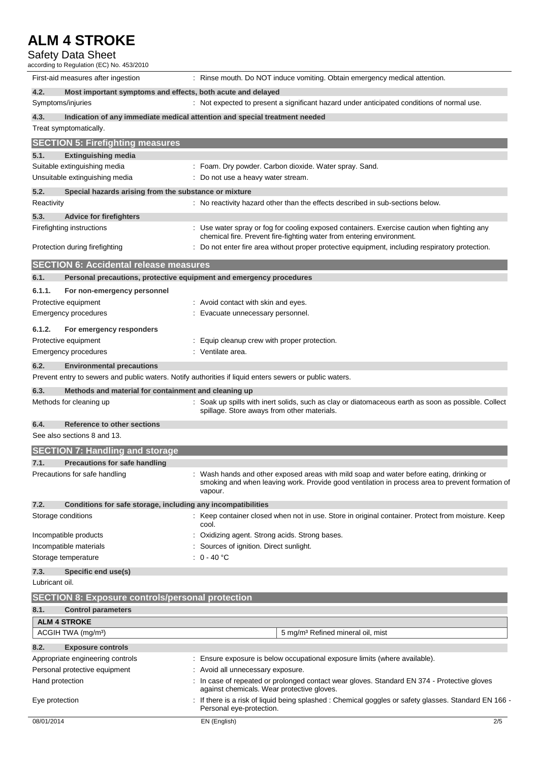#### Safety Data Sheet

according to Regulation (EC) No. 453/2010

| First-aid measures after ingestion                                                                      | : Rinse mouth. Do NOT induce vomiting. Obtain emergency medical attention.                                                                                                                             |
|---------------------------------------------------------------------------------------------------------|--------------------------------------------------------------------------------------------------------------------------------------------------------------------------------------------------------|
| 4.2.<br>Most important symptoms and effects, both acute and delayed                                     |                                                                                                                                                                                                        |
| Symptoms/injuries                                                                                       | : Not expected to present a significant hazard under anticipated conditions of normal use.                                                                                                             |
| 4.3.                                                                                                    | Indication of any immediate medical attention and special treatment needed                                                                                                                             |
| Treat symptomatically.                                                                                  |                                                                                                                                                                                                        |
| <b>SECTION 5: Firefighting measures</b>                                                                 |                                                                                                                                                                                                        |
| 5.1.<br><b>Extinguishing media</b>                                                                      |                                                                                                                                                                                                        |
| Suitable extinguishing media                                                                            | : Foam. Dry powder. Carbon dioxide. Water spray. Sand.                                                                                                                                                 |
| Unsuitable extinguishing media                                                                          | : Do not use a heavy water stream.                                                                                                                                                                     |
| 5.2.<br>Special hazards arising from the substance or mixture                                           |                                                                                                                                                                                                        |
| Reactivity                                                                                              | : No reactivity hazard other than the effects described in sub-sections below.                                                                                                                         |
| 5.3.<br><b>Advice for firefighters</b>                                                                  |                                                                                                                                                                                                        |
| Firefighting instructions                                                                               | : Use water spray or fog for cooling exposed containers. Exercise caution when fighting any                                                                                                            |
|                                                                                                         | chemical fire. Prevent fire-fighting water from entering environment.                                                                                                                                  |
| Protection during firefighting                                                                          | : Do not enter fire area without proper protective equipment, including respiratory protection.                                                                                                        |
| <b>SECTION 6: Accidental release measures</b>                                                           |                                                                                                                                                                                                        |
| 6.1.<br>Personal precautions, protective equipment and emergency procedures                             |                                                                                                                                                                                                        |
|                                                                                                         |                                                                                                                                                                                                        |
| 6.1.1.<br>For non-emergency personnel<br>Protective equipment                                           | : Avoid contact with skin and eyes.                                                                                                                                                                    |
| Emergency procedures                                                                                    | : Evacuate unnecessary personnel.                                                                                                                                                                      |
|                                                                                                         |                                                                                                                                                                                                        |
| 6.1.2.<br>For emergency responders                                                                      |                                                                                                                                                                                                        |
| Protective equipment                                                                                    | : Equip cleanup crew with proper protection.                                                                                                                                                           |
| <b>Emergency procedures</b>                                                                             | : Ventilate area.                                                                                                                                                                                      |
| 6.2.<br><b>Environmental precautions</b>                                                                |                                                                                                                                                                                                        |
| Prevent entry to sewers and public waters. Notify authorities if liquid enters sewers or public waters. |                                                                                                                                                                                                        |
| 6.3.<br>Methods and material for containment and cleaning up                                            |                                                                                                                                                                                                        |
| Methods for cleaning up                                                                                 | : Soak up spills with inert solids, such as clay or diatomaceous earth as soon as possible. Collect<br>spillage. Store aways from other materials.                                                     |
| 6.4.<br>Reference to other sections                                                                     |                                                                                                                                                                                                        |
| See also sections 8 and 13.                                                                             |                                                                                                                                                                                                        |
| <b>SECTION 7: Handling and storage</b>                                                                  |                                                                                                                                                                                                        |
| <b>Precautions for safe handling</b><br>7.1.                                                            |                                                                                                                                                                                                        |
| Precautions for safe handling                                                                           | : Wash hands and other exposed areas with mild soap and water before eating, drinking or<br>smoking and when leaving work. Provide good ventilation in process area to prevent formation of<br>vapour. |
| 7.2.<br>Conditions for safe storage, including any incompatibilities                                    |                                                                                                                                                                                                        |
| Storage conditions                                                                                      | : Keep container closed when not in use. Store in original container. Protect from moisture. Keep<br>cool.                                                                                             |
| Incompatible products                                                                                   | Oxidizing agent. Strong acids. Strong bases.                                                                                                                                                           |
| Incompatible materials                                                                                  | : Sources of ignition. Direct sunlight.                                                                                                                                                                |
| Storage temperature                                                                                     | : $0 - 40$ °C                                                                                                                                                                                          |
| 7.3.<br>Specific end use(s)                                                                             |                                                                                                                                                                                                        |
| Lubricant oil.                                                                                          |                                                                                                                                                                                                        |
| <b>SECTION 8: Exposure controls/personal protection</b>                                                 |                                                                                                                                                                                                        |
| 8.1.<br><b>Control parameters</b>                                                                       |                                                                                                                                                                                                        |
| <b>ALM 4 STROKE</b>                                                                                     |                                                                                                                                                                                                        |
| ACGIH TWA (mg/m <sup>3</sup> )                                                                          | 5 mg/m <sup>3</sup> Refined mineral oil, mist                                                                                                                                                          |
|                                                                                                         |                                                                                                                                                                                                        |
| 8.2.<br><b>Exposure controls</b><br>Appropriate engineering controls                                    | : Ensure exposure is below occupational exposure limits (where available).                                                                                                                             |
| Personal protective equipment                                                                           | : Avoid all unnecessary exposure.                                                                                                                                                                      |
| Hand protection                                                                                         | : In case of repeated or prolonged contact wear gloves. Standard EN 374 - Protective gloves<br>against chemicals. Wear protective gloves.                                                              |
| Eye protection                                                                                          | If there is a risk of liquid being splashed : Chemical goggles or safety glasses. Standard EN 166 -<br>Personal eye-protection.                                                                        |
| 08/01/2014                                                                                              | EN (English)<br>2/5                                                                                                                                                                                    |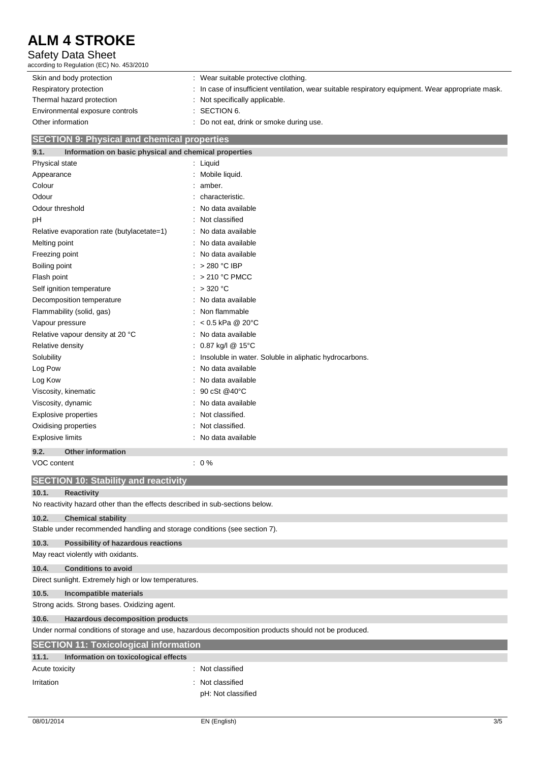#### Safety Data Sheet

according to Regulation (EC) No. 453/2010

| Skin and body protection        | : Wear suitable protective clothing.                                                               |
|---------------------------------|----------------------------------------------------------------------------------------------------|
| Respiratory protection          | : In case of insufficient ventilation, wear suitable respiratory equipment. Wear appropriate mask. |
| Thermal hazard protection       | : Not specifically applicable.                                                                     |
| Environmental exposure controls | : SECTION 6.                                                                                       |
| Other information               | : Do not eat, drink or smoke during use.                                                           |

#### **SECTION 9: Physical and chemical properties**

| Information on basic physical and chemical properties<br>9.1. |                                                        |
|---------------------------------------------------------------|--------------------------------------------------------|
| Physical state                                                | Liquid                                                 |
| Appearance                                                    | Mobile liquid.                                         |
| Colour                                                        | amber.                                                 |
| Odour                                                         | characteristic.                                        |
| Odour threshold                                               | No data available                                      |
| pH                                                            | Not classified                                         |
| Relative evaporation rate (butylacetate=1)                    | No data available                                      |
| Melting point                                                 | No data available                                      |
| Freezing point                                                | No data available                                      |
| Boiling point                                                 | > 280 °C IBP                                           |
| Flash point                                                   | > 210 °C PMCC                                          |
| Self ignition temperature                                     | > 320 °C                                               |
| Decomposition temperature                                     | No data available                                      |
| Flammability (solid, gas)                                     | Non flammable                                          |
| Vapour pressure                                               | $< 0.5$ kPa @ 20°C                                     |
| Relative vapour density at 20 °C                              | No data available                                      |
| Relative density                                              | 0.87 kg/l @ 15°C                                       |
| Solubility                                                    | Insoluble in water. Soluble in aliphatic hydrocarbons. |
| Log Pow                                                       | No data available                                      |
| Log Kow                                                       | No data available                                      |
| Viscosity, kinematic                                          | 90 cSt @40°C                                           |
| Viscosity, dynamic                                            | No data available                                      |
| <b>Explosive properties</b>                                   | Not classified.                                        |
| Oxidising properties                                          | Not classified.                                        |
| <b>Explosive limits</b>                                       | No data available                                      |
| <b>Other information</b><br>9.2.                              |                                                        |
| VOC content                                                   | 0%                                                     |

| VOC content                                                                                          | $: 0\%$            |  |
|------------------------------------------------------------------------------------------------------|--------------------|--|
| <b>SECTION 10: Stability and reactivity</b>                                                          |                    |  |
| 10.1.<br><b>Reactivity</b>                                                                           |                    |  |
| No reactivity hazard other than the effects described in sub-sections below.                         |                    |  |
| 10.2.<br><b>Chemical stability</b>                                                                   |                    |  |
| Stable under recommended handling and storage conditions (see section 7).                            |                    |  |
| 10.3.<br>Possibility of hazardous reactions                                                          |                    |  |
| May react violently with oxidants.                                                                   |                    |  |
| <b>Conditions to avoid</b><br>10.4.                                                                  |                    |  |
| Direct sunlight. Extremely high or low temperatures.                                                 |                    |  |
| 10.5.<br>Incompatible materials                                                                      |                    |  |
| Strong acids. Strong bases. Oxidizing agent.                                                         |                    |  |
| <b>Hazardous decomposition products</b><br>10.6.                                                     |                    |  |
| Under normal conditions of storage and use, hazardous decomposition products should not be produced. |                    |  |
| <b>SECTION 11: Toxicological information</b>                                                         |                    |  |
| 11.1.<br>Information on toxicological effects                                                        |                    |  |
| Acute toxicity                                                                                       | : Not classified   |  |
| Irritation                                                                                           | : Not classified   |  |
|                                                                                                      | pH: Not classified |  |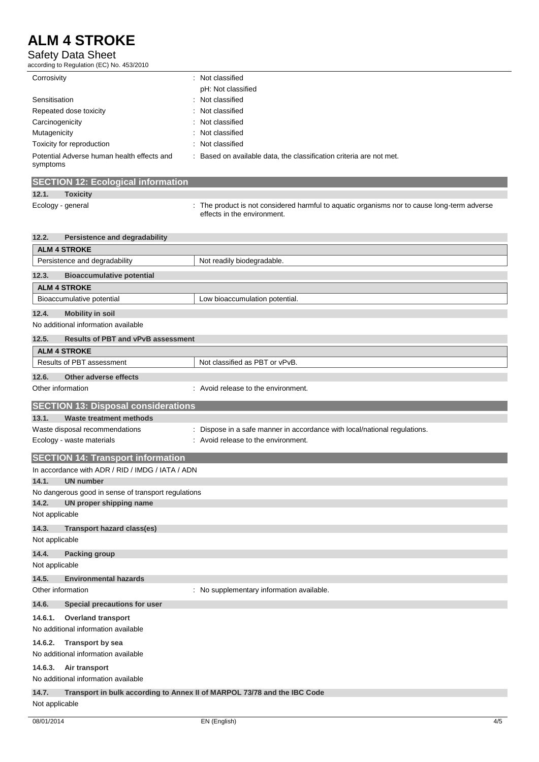#### Safety Data Sheet

according to Regulation (EC) No. 453/2010

| Corrosivity                                            | : Not classified                                                  |
|--------------------------------------------------------|-------------------------------------------------------------------|
|                                                        | pH: Not classified                                                |
| Sensitisation                                          | : Not classified                                                  |
| Repeated dose toxicity                                 | : Not classified                                                  |
| Carcinogenicity                                        | : Not classified                                                  |
| Mutagenicity                                           | : Not classified                                                  |
| Toxicity for reproduction                              | : Not classified                                                  |
| Potential Adverse human health effects and<br>symptoms | Based on available data, the classification criteria are not met. |

| <b>SECTION 12: Ecological information</b> |  |
|-------------------------------------------|--|
|                                           |  |

### **12.1. Toxicity**

Ecology - general intertable to the product is not considered harmful to aquatic organisms nor to cause long-term adverse effects in the environment.

| 12.2.             | <b>Persistence and degradability</b>                                     |                                                                         |
|-------------------|--------------------------------------------------------------------------|-------------------------------------------------------------------------|
|                   | <b>ALM 4 STROKE</b>                                                      |                                                                         |
|                   | Persistence and degradability                                            | Not readily biodegradable.                                              |
| 12.3.             | <b>Bioaccumulative potential</b>                                         |                                                                         |
|                   | <b>ALM 4 STROKE</b>                                                      |                                                                         |
|                   | Bioaccumulative potential                                                | Low bioaccumulation potential.                                          |
| 12.4.             | <b>Mobility in soil</b>                                                  |                                                                         |
|                   | No additional information available                                      |                                                                         |
| 12.5.             | <b>Results of PBT and vPvB assessment</b>                                |                                                                         |
|                   | <b>ALM 4 STROKE</b>                                                      |                                                                         |
|                   | Results of PBT assessment                                                | Not classified as PBT or vPvB.                                          |
| 12.6.             | Other adverse effects                                                    |                                                                         |
| Other information |                                                                          | : Avoid release to the environment.                                     |
|                   | <b>SECTION 13: Disposal considerations</b>                               |                                                                         |
| 13.1.             | <b>Waste treatment methods</b>                                           |                                                                         |
|                   | Waste disposal recommendations                                           | Dispose in a safe manner in accordance with local/national regulations. |
|                   | Ecology - waste materials                                                | Avoid release to the environment.                                       |
|                   | <b>SECTION 14: Transport information</b>                                 |                                                                         |
|                   | In accordance with ADR / RID / IMDG / IATA / ADN                         |                                                                         |
| 14.1.             | <b>UN number</b>                                                         |                                                                         |
|                   | No dangerous good in sense of transport regulations                      |                                                                         |
| 14.2.             | UN proper shipping name                                                  |                                                                         |
| Not applicable    |                                                                          |                                                                         |
| 14.3.             | Transport hazard class(es)                                               |                                                                         |
| Not applicable    |                                                                          |                                                                         |
| 14.4.             | <b>Packing group</b>                                                     |                                                                         |
| Not applicable    |                                                                          |                                                                         |
| 14.5.             | <b>Environmental hazards</b>                                             |                                                                         |
| Other information |                                                                          | : No supplementary information available.                               |
| 14.6.             | Special precautions for user                                             |                                                                         |
| 14.6.1.           | <b>Overland transport</b>                                                |                                                                         |
|                   | No additional information available                                      |                                                                         |
| 14.6.2.           | Transport by sea                                                         |                                                                         |
|                   | No additional information available                                      |                                                                         |
| 14.6.3.           | Air transport                                                            |                                                                         |
|                   | No additional information available                                      |                                                                         |
| 14.7.             | Transport in bulk according to Annex II of MARPOL 73/78 and the IBC Code |                                                                         |
| Not applicable    |                                                                          |                                                                         |